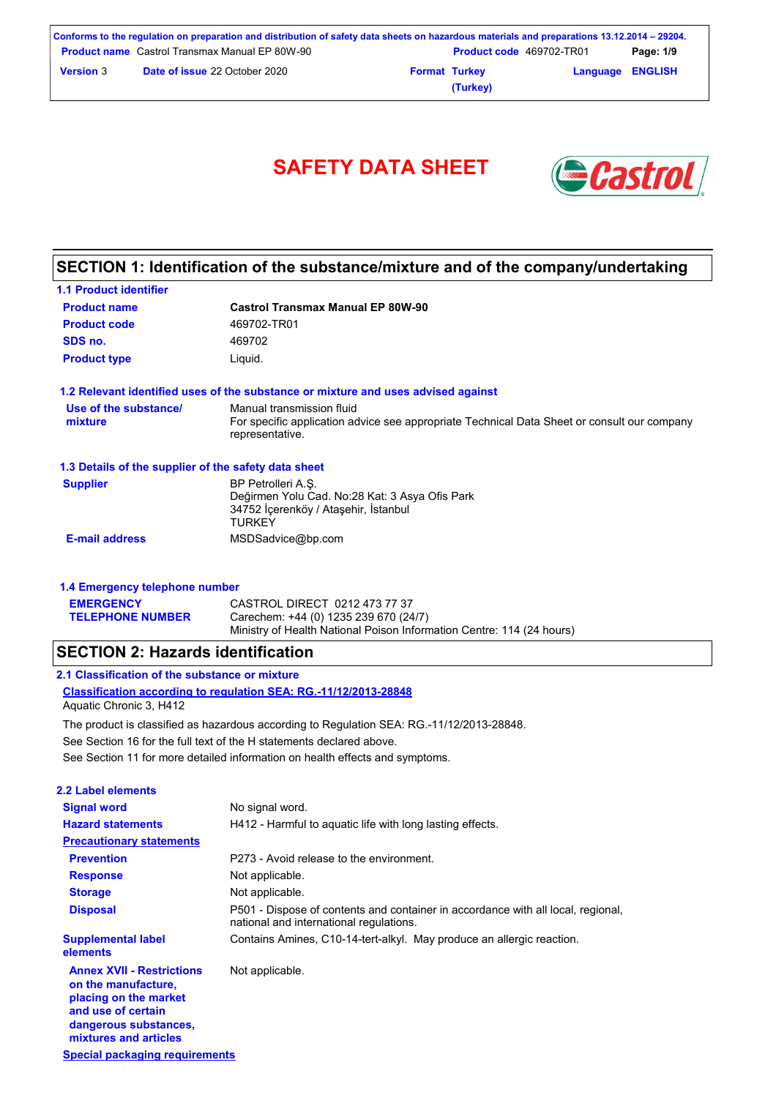|                  | Conforms to the regulation on preparation and distribution of safety data sheets on hazardous materials and preparations 13.12.2014 – 29204. |                      |                                 |                  |           |
|------------------|----------------------------------------------------------------------------------------------------------------------------------------------|----------------------|---------------------------------|------------------|-----------|
|                  | <b>Product name</b> Castrol Transmax Manual EP 80W-90                                                                                        |                      | <b>Product code</b> 469702-TR01 |                  | Page: 1/9 |
| <b>Version</b> 3 | <b>Date of issue 22 October 2020</b>                                                                                                         | <b>Format Turkey</b> |                                 | Language ENGLISH |           |
|                  |                                                                                                                                              |                      | (Turkey)                        |                  |           |



## **SECTION 1: Identification of the substance/mixture and of the company/undertaking**

| <b>1.1 Product identifier</b>                        |                                                                                                                                             |
|------------------------------------------------------|---------------------------------------------------------------------------------------------------------------------------------------------|
| <b>Product name</b>                                  | <b>Castrol Transmax Manual EP 80W-90</b>                                                                                                    |
| <b>Product code</b>                                  | 469702-TR01                                                                                                                                 |
| SDS no.                                              | 469702                                                                                                                                      |
| <b>Product type</b>                                  | Liquid.                                                                                                                                     |
|                                                      | 1.2 Relevant identified uses of the substance or mixture and uses advised against                                                           |
| Use of the substance/<br>mixture                     | Manual transmission fluid<br>For specific application advice see appropriate Technical Data Sheet or consult our company<br>representative. |
| 1.3 Details of the supplier of the safety data sheet |                                                                                                                                             |
| <b>Supplier</b>                                      | BP Petrolleri A.S.<br>Değirmen Yolu Cad. No:28 Kat: 3 Asya Ofis Park<br>34752 İçerenköy / Ataşehir, İstanbul<br><b>TURKEY</b>               |
| <b>E-mail address</b>                                | MSDSadvice@bp.com                                                                                                                           |

| 1.4 Emergency telephone number |                                                                       |  |  |
|--------------------------------|-----------------------------------------------------------------------|--|--|
| <b>EMERGENCY</b>               | CASTROL DIRECT 0212 473 77 37                                         |  |  |
| <b>TELEPHONE NUMBER</b>        | Carechem: +44 (0) 1235 239 670 (24/7)                                 |  |  |
|                                | Ministry of Health National Poison Information Centre: 114 (24 hours) |  |  |

## **SECTION 2: Hazards identification**

| 2.1 Classification of the substance or mixture                   |  |
|------------------------------------------------------------------|--|
| Classification according to regulation SEA: RG.-11/12/2013-28848 |  |
| $A = 11.01$                                                      |  |

Aquatic Chronic 3, H412

The product is classified as hazardous according to Regulation SEA: RG.-11/12/2013-28848.

See Section 16 for the full text of the H statements declared above.

See Section 11 for more detailed information on health effects and symptoms.

| 2.2 Label elements                                                                                                                                       |                                                                                                                             |
|----------------------------------------------------------------------------------------------------------------------------------------------------------|-----------------------------------------------------------------------------------------------------------------------------|
| <b>Signal word</b>                                                                                                                                       | No signal word.                                                                                                             |
| <b>Hazard statements</b>                                                                                                                                 | H412 - Harmful to aguatic life with long lasting effects.                                                                   |
| <b>Precautionary statements</b>                                                                                                                          |                                                                                                                             |
| <b>Prevention</b>                                                                                                                                        | P273 - Avoid release to the environment.                                                                                    |
| <b>Response</b>                                                                                                                                          | Not applicable.                                                                                                             |
| <b>Storage</b>                                                                                                                                           | Not applicable.                                                                                                             |
| <b>Disposal</b>                                                                                                                                          | P501 - Dispose of contents and container in accordance with all local, regional,<br>national and international regulations. |
| <b>Supplemental label</b><br>elements                                                                                                                    | Contains Amines, C10-14-tert-alkyl. May produce an allergic reaction.                                                       |
| <b>Annex XVII - Restrictions</b><br>on the manufacture.<br>placing on the market<br>and use of certain<br>dangerous substances,<br>mixtures and articles | Not applicable.                                                                                                             |
| Special packaging requirements                                                                                                                           |                                                                                                                             |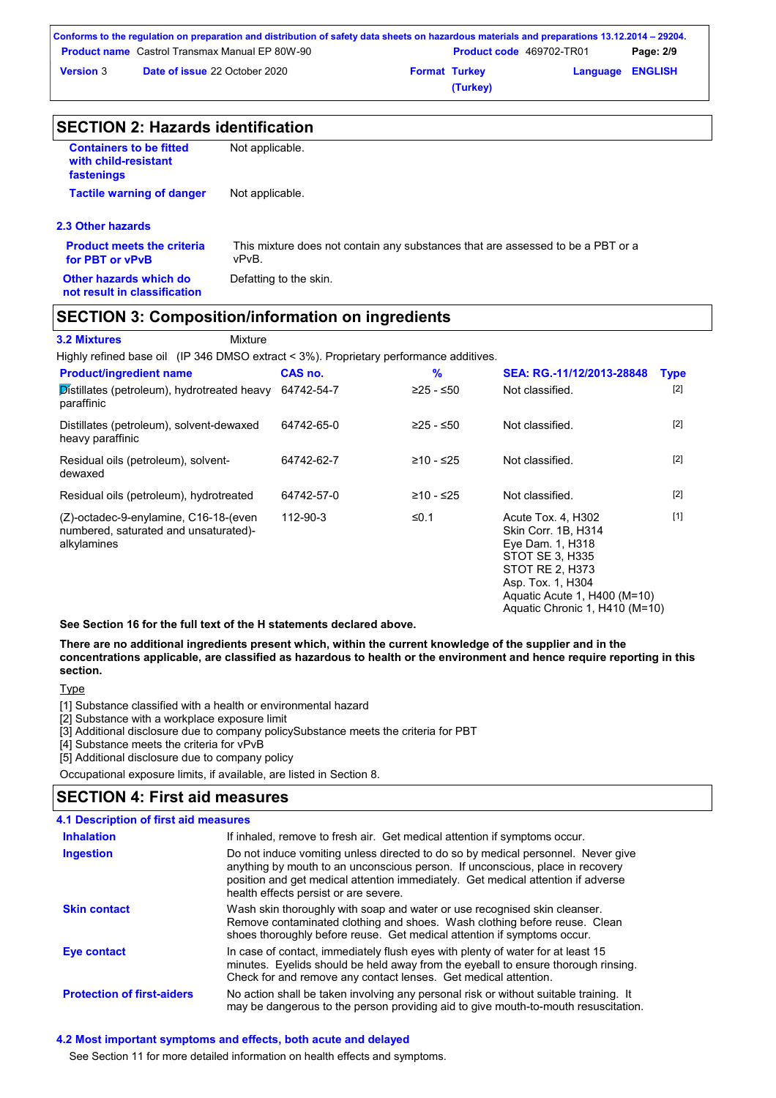| Conforms to the regulation on preparation and distribution of safety data sheets on hazardous materials and preparations 13.12.2014 – 29204. |                                                       |                      |                                 |                         |           |
|----------------------------------------------------------------------------------------------------------------------------------------------|-------------------------------------------------------|----------------------|---------------------------------|-------------------------|-----------|
|                                                                                                                                              | <b>Product name</b> Castrol Transmax Manual EP 80W-90 |                      | <b>Product code</b> 469702-TR01 |                         | Page: 2/9 |
| <b>Version 3</b>                                                                                                                             | <b>Date of issue 22 October 2020</b>                  | <b>Format Turkey</b> |                                 | <b>Language ENGLISH</b> |           |
|                                                                                                                                              |                                                       |                      | (Turkey)                        |                         |           |

| <b>SECTION 2: Hazards identification</b> |  |
|------------------------------------------|--|
|------------------------------------------|--|

| <b>Containers to be fitted</b><br>with child-resistant<br>fastenings | Not applicable.                                                                          |
|----------------------------------------------------------------------|------------------------------------------------------------------------------------------|
| <b>Tactile warning of danger</b>                                     | Not applicable.                                                                          |
| 2.3 Other hazards                                                    |                                                                                          |
| <b>Product meets the criteria</b><br>for PBT or vPvB                 | This mixture does not contain any substances that are assessed to be a PBT or a<br>vPvB. |
| Other hazards which do<br>not result in classification               | Defatting to the skin.                                                                   |
|                                                                      |                                                                                          |

### **SECTION 3: Composition/information on ingredients**

**3.2 Mixtures** Mixture

Highly refined base oil (IP 346 DMSO extract < 3%). Proprietary performance additives.

| <b>Product/ingredient name</b>                                                                | CAS no.    | %         | SEA: RG.-11/12/2013-28848                                                                                                                                                                         | <b>Type</b> |
|-----------------------------------------------------------------------------------------------|------------|-----------|---------------------------------------------------------------------------------------------------------------------------------------------------------------------------------------------------|-------------|
| Distillates (petroleum), hydrotreated heavy<br>paraffinic                                     | 64742-54-7 | ≥25 - ≤50 | Not classified.                                                                                                                                                                                   | $[2]$       |
| Distillates (petroleum), solvent-dewaxed<br>heavy paraffinic                                  | 64742-65-0 | ≥25 - ≤50 | Not classified.                                                                                                                                                                                   | $[2]$       |
| Residual oils (petroleum), solvent-<br>dewaxed                                                | 64742-62-7 | ≥10 - ≤25 | Not classified.                                                                                                                                                                                   | $[2]$       |
| Residual oils (petroleum), hydrotreated                                                       | 64742-57-0 | ≥10 - ≤25 | Not classified.                                                                                                                                                                                   | $[2]$       |
| (Z)-octadec-9-enylamine, C16-18-(even<br>numbered, saturated and unsaturated)-<br>alkylamines | 112-90-3   | ≤0.1      | Acute Tox. 4, H302<br>Skin Corr. 1B, H314<br>Eye Dam. 1, H318<br>STOT SE 3, H335<br><b>STOT RE 2, H373</b><br>Asp. Tox. 1, H304<br>Aquatic Acute 1, H400 (M=10)<br>Aquatic Chronic 1, H410 (M=10) | $[1]$       |

**See Section 16 for the full text of the H statements declared above.**

**There are no additional ingredients present which, within the current knowledge of the supplier and in the concentrations applicable, are classified as hazardous to health or the environment and hence require reporting in this section.**

**Type** 

[1] Substance classified with a health or environmental hazard

[2] Substance with a workplace exposure limit

[3] Additional disclosure due to company policySubstance meets the criteria for PBT

[4] Substance meets the criteria for vPvB

[5] Additional disclosure due to company policy

Occupational exposure limits, if available, are listed in Section 8.

## **SECTION 4: First aid measures**

| <b>4.1 Description of first aid measures</b> |                                                                                                                                                                                                                                                                                                |
|----------------------------------------------|------------------------------------------------------------------------------------------------------------------------------------------------------------------------------------------------------------------------------------------------------------------------------------------------|
| <b>Inhalation</b>                            | If inhaled, remove to fresh air. Get medical attention if symptoms occur.                                                                                                                                                                                                                      |
| <b>Ingestion</b>                             | Do not induce vomiting unless directed to do so by medical personnel. Never give<br>anything by mouth to an unconscious person. If unconscious, place in recovery<br>position and get medical attention immediately. Get medical attention if adverse<br>health effects persist or are severe. |
| <b>Skin contact</b>                          | Wash skin thoroughly with soap and water or use recognised skin cleanser.<br>Remove contaminated clothing and shoes. Wash clothing before reuse. Clean<br>shoes thoroughly before reuse. Get medical attention if symptoms occur.                                                              |
| Eye contact                                  | In case of contact, immediately flush eyes with plenty of water for at least 15<br>minutes. Eyelids should be held away from the eyeball to ensure thorough rinsing.<br>Check for and remove any contact lenses. Get medical attention.                                                        |
| <b>Protection of first-aiders</b>            | No action shall be taken involving any personal risk or without suitable training. It<br>may be dangerous to the person providing aid to give mouth-to-mouth resuscitation.                                                                                                                    |

### **4.2 Most important symptoms and effects, both acute and delayed**

See Section 11 for more detailed information on health effects and symptoms.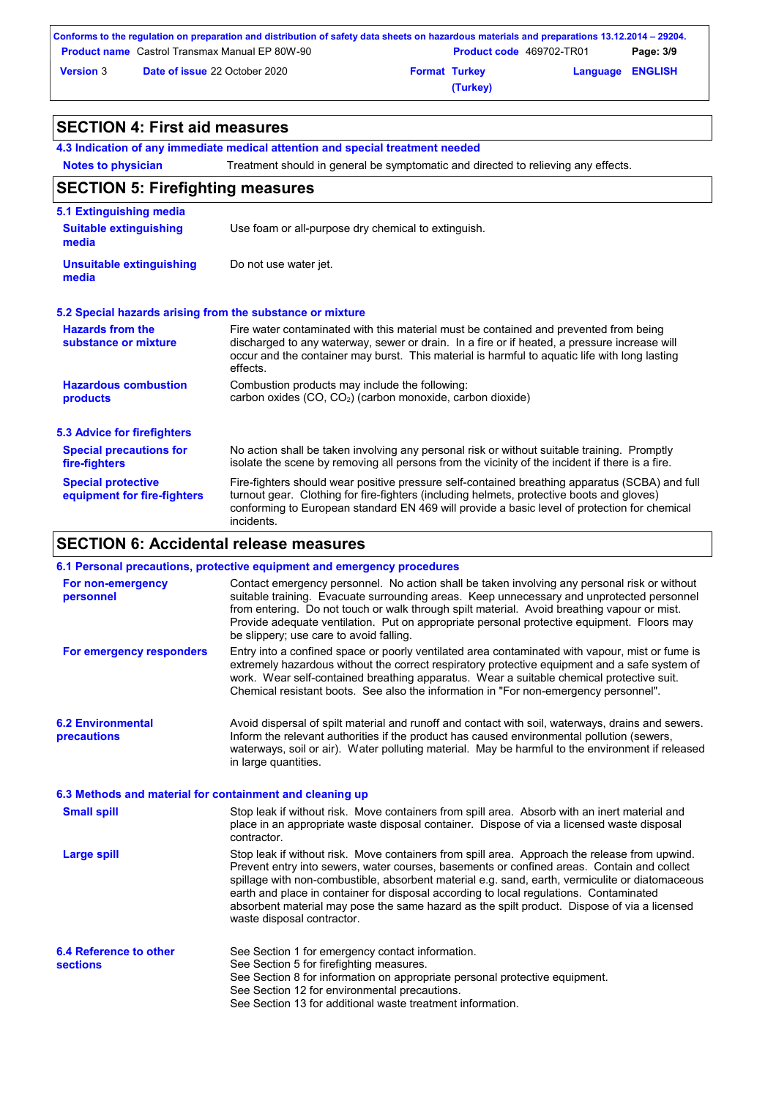| Conforms to the regulation on preparation and distribution of safety data sheets on hazardous materials and preparations 13.12.2014 – 29204. |                                                       |                      |                                 |                         |           |
|----------------------------------------------------------------------------------------------------------------------------------------------|-------------------------------------------------------|----------------------|---------------------------------|-------------------------|-----------|
|                                                                                                                                              | <b>Product name</b> Castrol Transmax Manual EP 80W-90 |                      | <b>Product code</b> 469702-TR01 |                         | Page: 3/9 |
| <b>Version 3</b>                                                                                                                             | <b>Date of issue 22 October 2020</b>                  | <b>Format Turkey</b> |                                 | <b>Language ENGLISH</b> |           |
|                                                                                                                                              |                                                       |                      | (Turkey)                        |                         |           |

## **SECTION 4: First aid measures**

**Notes to physician 4.3 Indication of any immediate medical attention and special treatment needed** Treatment should in general be symptomatic and directed to relieving any effects. No action shall be taken involving any personal risk or without suitable training. Promptly isolate the scene by removing all persons from the vicinity of the incident if there is a fire. **Hazardous combustion products Hazards from the substance or mixture** Combustion products may include the following: carbon oxides (CO, CO2) (carbon monoxide, carbon dioxide) Fire water contaminated with this material must be contained and prevented from being discharged to any waterway, sewer or drain. In a fire or if heated, a pressure increase will occur and the container may burst. This material is harmful to aquatic life with long lasting effects. Fire-fighters should wear positive pressure self-contained breathing apparatus (SCBA) and full turnout gear. Clothing for fire-fighters (including helmets, protective boots and gloves) conforming to European standard EN 469 will provide a basic level of protection for chemical incidents. **Special protective equipment for fire-fighters** Use foam or all-purpose dry chemical to extinguish. **5.1 Extinguishing media** Do not use water jet. **Suitable extinguishing media Unsuitable extinguishing media SECTION 5: Firefighting measures 5.2 Special hazards arising from the substance or mixture 5.3 Advice for firefighters Special precautions for fire-fighters**

## **SECTION 6: Accidental release measures**

|                                                          | 6.1 Personal precautions, protective equipment and emergency procedures                                                                                                                                                                                                                                                                                                                                                                                                                                               |
|----------------------------------------------------------|-----------------------------------------------------------------------------------------------------------------------------------------------------------------------------------------------------------------------------------------------------------------------------------------------------------------------------------------------------------------------------------------------------------------------------------------------------------------------------------------------------------------------|
| For non-emergency<br>personnel                           | Contact emergency personnel. No action shall be taken involving any personal risk or without<br>suitable training. Evacuate surrounding areas. Keep unnecessary and unprotected personnel<br>from entering. Do not touch or walk through spilt material. Avoid breathing vapour or mist.<br>Provide adequate ventilation. Put on appropriate personal protective equipment. Floors may<br>be slippery; use care to avoid falling.                                                                                     |
| For emergency responders                                 | Entry into a confined space or poorly ventilated area contaminated with vapour, mist or fume is<br>extremely hazardous without the correct respiratory protective equipment and a safe system of<br>work. Wear self-contained breathing apparatus. Wear a suitable chemical protective suit.<br>Chemical resistant boots. See also the information in "For non-emergency personnel".                                                                                                                                  |
| <b>6.2 Environmental</b><br><b>precautions</b>           | Avoid dispersal of spilt material and runoff and contact with soil, waterways, drains and sewers.<br>Inform the relevant authorities if the product has caused environmental pollution (sewers,<br>waterways, soil or air). Water polluting material. May be harmful to the environment if released<br>in large quantities.                                                                                                                                                                                           |
| 6.3 Methods and material for containment and cleaning up |                                                                                                                                                                                                                                                                                                                                                                                                                                                                                                                       |
| <b>Small spill</b>                                       | Stop leak if without risk. Move containers from spill area. Absorb with an inert material and<br>place in an appropriate waste disposal container. Dispose of via a licensed waste disposal<br>contractor.                                                                                                                                                                                                                                                                                                            |
| <b>Large spill</b>                                       | Stop leak if without risk. Move containers from spill area. Approach the release from upwind.<br>Prevent entry into sewers, water courses, basements or confined areas. Contain and collect<br>spillage with non-combustible, absorbent material e.g. sand, earth, vermiculite or diatomaceous<br>earth and place in container for disposal according to local regulations. Contaminated<br>absorbent material may pose the same hazard as the spilt product. Dispose of via a licensed<br>waste disposal contractor. |
| 6.4 Reference to other<br><b>sections</b>                | See Section 1 for emergency contact information.<br>See Section 5 for firefighting measures.<br>See Section 8 for information on appropriate personal protective equipment.<br>See Section 12 for environmental precautions.<br>See Section 13 for additional waste treatment information.                                                                                                                                                                                                                            |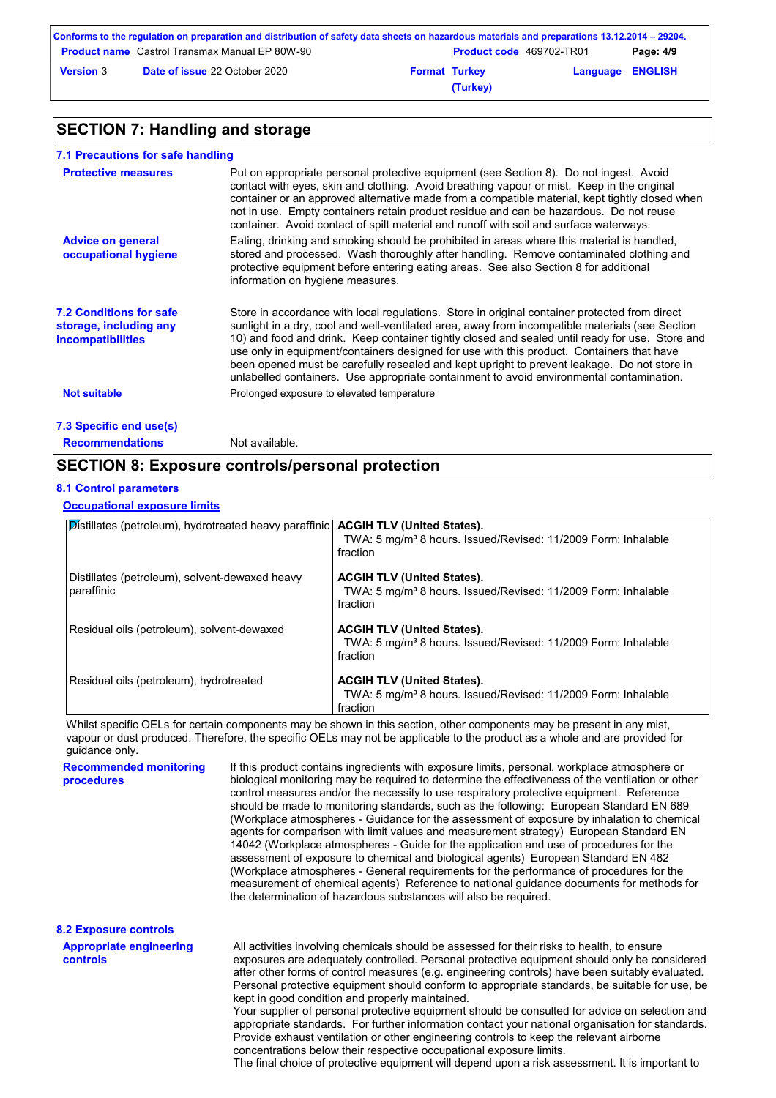|                  | Conforms to the regulation on preparation and distribution of safety data sheets on hazardous materials and preparations 13.12.2014 – 29204. |                      |                                 |                         |           |
|------------------|----------------------------------------------------------------------------------------------------------------------------------------------|----------------------|---------------------------------|-------------------------|-----------|
|                  | <b>Product name</b> Castrol Transmax Manual EP 80W-90                                                                                        |                      | <b>Product code</b> 469702-TR01 |                         | Page: 4/9 |
| <b>Version 3</b> | <b>Date of issue 22 October 2020</b>                                                                                                         | <b>Format Turkey</b> |                                 | <b>Language ENGLISH</b> |           |
|                  |                                                                                                                                              |                      | (Turkey)                        |                         |           |

## **SECTION 7: Handling and storage**

| 7.1 Precautions for safe handling                                                    |                                                                                                                                                                                                                                                                                                                                                                                                                                                                                                                                                                                             |
|--------------------------------------------------------------------------------------|---------------------------------------------------------------------------------------------------------------------------------------------------------------------------------------------------------------------------------------------------------------------------------------------------------------------------------------------------------------------------------------------------------------------------------------------------------------------------------------------------------------------------------------------------------------------------------------------|
| <b>Protective measures</b>                                                           | Put on appropriate personal protective equipment (see Section 8). Do not ingest. Avoid<br>contact with eyes, skin and clothing. Avoid breathing vapour or mist. Keep in the original<br>container or an approved alternative made from a compatible material, kept tightly closed when<br>not in use. Empty containers retain product residue and can be hazardous. Do not reuse<br>container. Avoid contact of spilt material and runoff with soil and surface waterways.                                                                                                                  |
| <b>Advice on general</b><br>occupational hygiene                                     | Eating, drinking and smoking should be prohibited in areas where this material is handled.<br>stored and processed. Wash thoroughly after handling. Remove contaminated clothing and<br>protective equipment before entering eating areas. See also Section 8 for additional<br>information on hygiene measures.                                                                                                                                                                                                                                                                            |
| <b>7.2 Conditions for safe</b><br>storage, including any<br><i>incompatibilities</i> | Store in accordance with local regulations. Store in original container protected from direct<br>sunlight in a dry, cool and well-ventilated area, away from incompatible materials (see Section<br>10) and food and drink. Keep container tightly closed and sealed until ready for use. Store and<br>use only in equipment/containers designed for use with this product. Containers that have<br>been opened must be carefully resealed and kept upright to prevent leakage. Do not store in<br>unlabelled containers. Use appropriate containment to avoid environmental contamination. |
| <b>Not suitable</b>                                                                  | Prolonged exposure to elevated temperature                                                                                                                                                                                                                                                                                                                                                                                                                                                                                                                                                  |
| 7.3 Specific end use(s)                                                              |                                                                                                                                                                                                                                                                                                                                                                                                                                                                                                                                                                                             |
|                                                                                      |                                                                                                                                                                                                                                                                                                                                                                                                                                                                                                                                                                                             |

## **Recommendations** Not available.

## **SECTION 8: Exposure controls/personal protection**

### **8.1 Control parameters**

### **Occupational exposure limits**

| Distillates (petroleum), hydrotreated heavy paraffinic   ACGIH TLV (United States). |                                                                           |
|-------------------------------------------------------------------------------------|---------------------------------------------------------------------------|
|                                                                                     | TWA: 5 mg/m <sup>3</sup> 8 hours. Issued/Revised: 11/2009 Form: Inhalable |
|                                                                                     | fraction                                                                  |
|                                                                                     |                                                                           |
|                                                                                     |                                                                           |
| Distillates (petroleum), solvent-dewaxed heavy                                      | <b>ACGIH TLV (United States).</b>                                         |
| paraffinic                                                                          | TWA: 5 mg/m <sup>3</sup> 8 hours. Issued/Revised: 11/2009 Form: Inhalable |
|                                                                                     | fraction                                                                  |
|                                                                                     |                                                                           |
|                                                                                     |                                                                           |
| Residual oils (petroleum), solvent-dewaxed                                          | <b>ACGIH TLV (United States).</b>                                         |
|                                                                                     | TWA: 5 mg/m <sup>3</sup> 8 hours. Issued/Revised: 11/2009 Form: Inhalable |
|                                                                                     |                                                                           |
|                                                                                     | fraction                                                                  |
|                                                                                     |                                                                           |
| Residual oils (petroleum), hydrotreated                                             | <b>ACGIH TLV (United States).</b>                                         |
|                                                                                     | TWA: 5 mg/m <sup>3</sup> 8 hours. Issued/Revised: 11/2009 Form: Inhalable |
|                                                                                     |                                                                           |
|                                                                                     | fraction                                                                  |

Whilst specific OELs for certain components may be shown in this section, other components may be present in any mist, vapour or dust produced. Therefore, the specific OELs may not be applicable to the product as a whole and are provided for guidance only.

| <b>Recommended monitoring</b><br>procedures       | If this product contains ingredients with exposure limits, personal, workplace atmosphere or<br>biological monitoring may be reguired to determine the effectiveness of the ventilation or other<br>control measures and/or the necessity to use respiratory protective equipment. Reference<br>should be made to monitoring standards, such as the following: European Standard EN 689<br>(Workplace atmospheres - Guidance for the assessment of exposure by inhalation to chemical<br>agents for comparison with limit values and measurement strategy) European Standard EN<br>14042 (Workplace atmospheres - Guide for the application and use of procedures for the<br>assessment of exposure to chemical and biological agents) European Standard EN 482<br>(Workplace atmospheres - General requirements for the performance of procedures for the<br>measurement of chemical agents) Reference to national quidance documents for methods for<br>the determination of hazardous substances will also be required. |
|---------------------------------------------------|----------------------------------------------------------------------------------------------------------------------------------------------------------------------------------------------------------------------------------------------------------------------------------------------------------------------------------------------------------------------------------------------------------------------------------------------------------------------------------------------------------------------------------------------------------------------------------------------------------------------------------------------------------------------------------------------------------------------------------------------------------------------------------------------------------------------------------------------------------------------------------------------------------------------------------------------------------------------------------------------------------------------------|
| <b>8.2 Exposure controls</b>                      |                                                                                                                                                                                                                                                                                                                                                                                                                                                                                                                                                                                                                                                                                                                                                                                                                                                                                                                                                                                                                            |
| <b>Appropriate engineering</b><br><b>controls</b> | All activities involving chemicals should be assessed for their risks to health, to ensure<br>exposures are adequately controlled. Personal protective equipment should only be considered<br>after other forms of control measures (e.g. engineering controls) have been suitably evaluated.<br>Personal protective equipment should conform to appropriate standards, be suitable for use, be<br>kept in good condition and properly maintained.<br>Your supplier of personal protective equipment should be consulted for advice on selection and<br>appropriate standards. For further information contact your national organisation for standards.<br>Provide exhaust ventilation or other engineering controls to keep the relevant airborne                                                                                                                                                                                                                                                                        |

concentrations below their respective occupational exposure limits.

The final choice of protective equipment will depend upon a risk assessment. It is important to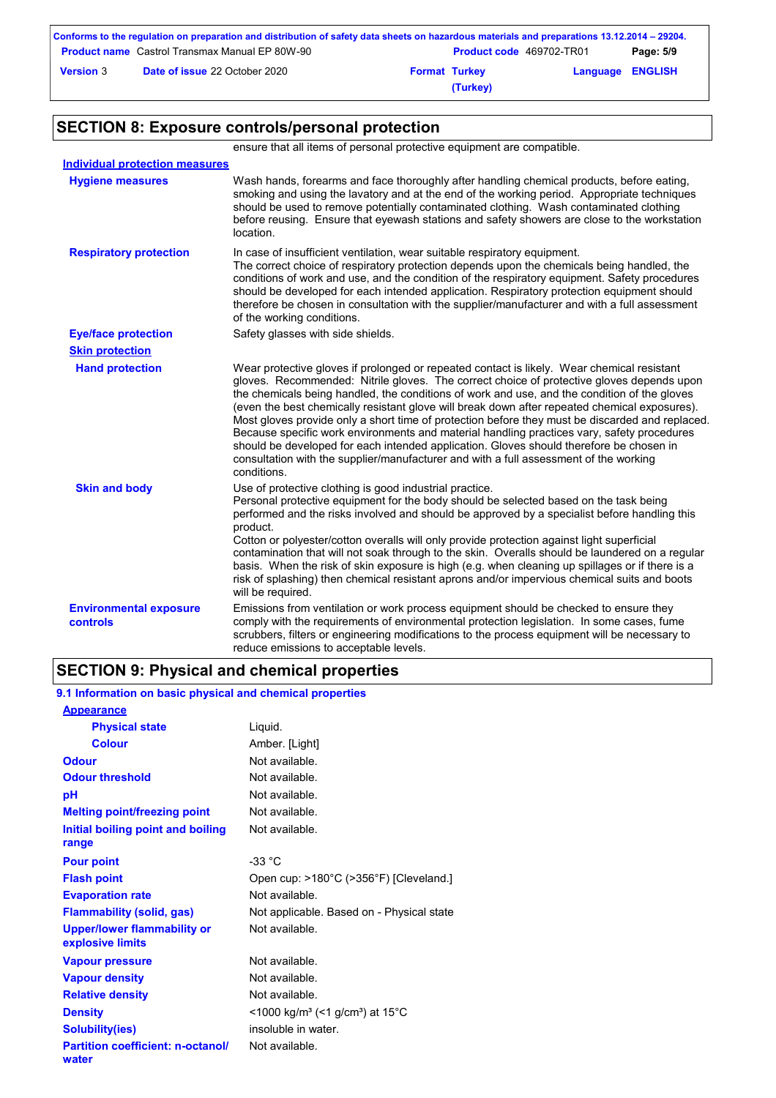|                  | Conforms to the regulation on preparation and distribution of safety data sheets on hazardous materials and preparations 13.12.2014 – 29204. |                                 |                         |           |
|------------------|----------------------------------------------------------------------------------------------------------------------------------------------|---------------------------------|-------------------------|-----------|
|                  | <b>Product name</b> Castrol Transmax Manual EP 80W-90                                                                                        | <b>Product code</b> 469702-TR01 |                         | Page: 5/9 |
| <b>Version 3</b> | <b>Date of issue 22 October 2020</b>                                                                                                         | <b>Format Turkey</b>            | <b>Language ENGLISH</b> |           |
|                  |                                                                                                                                              | (Turkey)                        |                         |           |

## **SECTION 8: Exposure controls/personal protection**

ensure that all items of personal protective equipment are compatible.

| <b>Individual protection measures</b>            |                                                                                                                                                                                                                                                                                                                                                                                                                                                                                                                                                                                                                                                                                                                                                                                              |
|--------------------------------------------------|----------------------------------------------------------------------------------------------------------------------------------------------------------------------------------------------------------------------------------------------------------------------------------------------------------------------------------------------------------------------------------------------------------------------------------------------------------------------------------------------------------------------------------------------------------------------------------------------------------------------------------------------------------------------------------------------------------------------------------------------------------------------------------------------|
| <b>Hygiene measures</b>                          | Wash hands, forearms and face thoroughly after handling chemical products, before eating,<br>smoking and using the lavatory and at the end of the working period. Appropriate techniques<br>should be used to remove potentially contaminated clothing. Wash contaminated clothing<br>before reusing. Ensure that eyewash stations and safety showers are close to the workstation<br>location.                                                                                                                                                                                                                                                                                                                                                                                              |
| <b>Respiratory protection</b>                    | In case of insufficient ventilation, wear suitable respiratory equipment.<br>The correct choice of respiratory protection depends upon the chemicals being handled, the<br>conditions of work and use, and the condition of the respiratory equipment. Safety procedures<br>should be developed for each intended application. Respiratory protection equipment should<br>therefore be chosen in consultation with the supplier/manufacturer and with a full assessment<br>of the working conditions.                                                                                                                                                                                                                                                                                        |
| <b>Eye/face protection</b>                       | Safety glasses with side shields.                                                                                                                                                                                                                                                                                                                                                                                                                                                                                                                                                                                                                                                                                                                                                            |
| <b>Skin protection</b>                           |                                                                                                                                                                                                                                                                                                                                                                                                                                                                                                                                                                                                                                                                                                                                                                                              |
| <b>Hand protection</b>                           | Wear protective gloves if prolonged or repeated contact is likely. Wear chemical resistant<br>gloves. Recommended: Nitrile gloves. The correct choice of protective gloves depends upon<br>the chemicals being handled, the conditions of work and use, and the condition of the gloves<br>(even the best chemically resistant glove will break down after repeated chemical exposures).<br>Most gloves provide only a short time of protection before they must be discarded and replaced.<br>Because specific work environments and material handling practices vary, safety procedures<br>should be developed for each intended application. Gloves should therefore be chosen in<br>consultation with the supplier/manufacturer and with a full assessment of the working<br>conditions. |
| <b>Skin and body</b>                             | Use of protective clothing is good industrial practice.<br>Personal protective equipment for the body should be selected based on the task being<br>performed and the risks involved and should be approved by a specialist before handling this<br>product.<br>Cotton or polyester/cotton overalls will only provide protection against light superficial<br>contamination that will not soak through to the skin. Overalls should be laundered on a regular<br>basis. When the risk of skin exposure is high (e.g. when cleaning up spillages or if there is a<br>risk of splashing) then chemical resistant aprons and/or impervious chemical suits and boots<br>will be required.                                                                                                        |
| <b>Environmental exposure</b><br><b>controls</b> | Emissions from ventilation or work process equipment should be checked to ensure they<br>comply with the requirements of environmental protection legislation. In some cases, fume<br>scrubbers, filters or engineering modifications to the process equipment will be necessary to<br>reduce emissions to acceptable levels.                                                                                                                                                                                                                                                                                                                                                                                                                                                                |

## **SECTION 9: Physical and chemical properties**

### **9.1 Information on basic physical and chemical properties**

| <b>Appearance</b>                                      |                                                         |
|--------------------------------------------------------|---------------------------------------------------------|
| <b>Physical state</b>                                  | Liquid.                                                 |
| <b>Colour</b>                                          | Amber. [Light]                                          |
| <b>Odour</b>                                           | Not available.                                          |
| <b>Odour threshold</b>                                 | Not available.                                          |
| рH                                                     | Not available.                                          |
| <b>Melting point/freezing point</b>                    | Not available.                                          |
| <b>Initial boiling point and boiling</b>               | Not available.                                          |
| range                                                  |                                                         |
| <b>Pour point</b>                                      | $-33 °C$                                                |
| <b>Flash point</b>                                     | Open cup: >180°C (>356°F) [Cleveland.]                  |
| <b>Evaporation rate</b>                                | Not available.                                          |
| <b>Flammability (solid, gas)</b>                       | Not applicable. Based on - Physical state               |
| <b>Upper/lower flammability or</b><br>explosive limits | Not available.                                          |
| <b>Vapour pressure</b>                                 | Not available.                                          |
| <b>Vapour density</b>                                  | Not available.                                          |
| <b>Relative density</b>                                | Not available.                                          |
| <b>Density</b>                                         | <1000 kg/m <sup>3</sup> (<1 g/cm <sup>3</sup> ) at 15°C |
| <b>Solubility(ies)</b>                                 | insoluble in water.                                     |
| <b>Partition coefficient: n-octanol/</b><br>water      | Not available.                                          |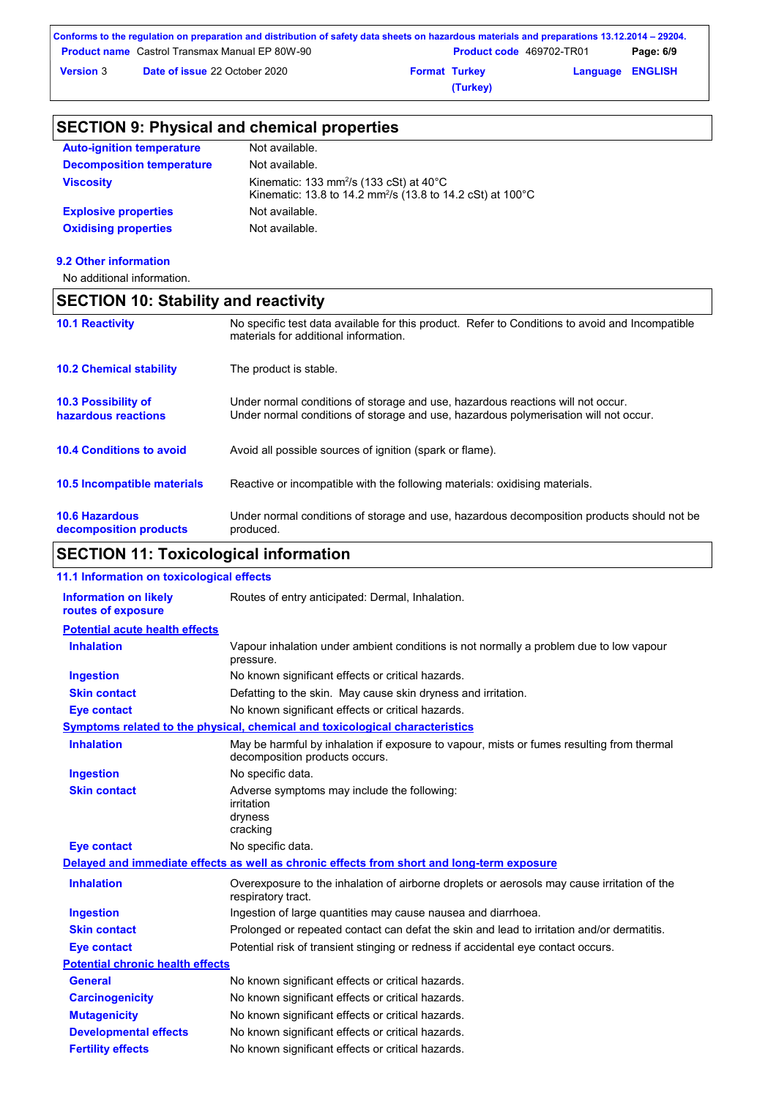|                  | Conforms to the regulation on preparation and distribution of safety data sheets on hazardous materials and preparations 13.12.2014 – 29204. |                      |                                 |                         |           |
|------------------|----------------------------------------------------------------------------------------------------------------------------------------------|----------------------|---------------------------------|-------------------------|-----------|
|                  | <b>Product name</b> Castrol Transmax Manual EP 80W-90                                                                                        |                      | <b>Product code</b> 469702-TR01 |                         | Page: 6/9 |
| <b>Version 3</b> | <b>Date of issue 22 October 2020</b>                                                                                                         | <b>Format Turkey</b> |                                 | <b>Language ENGLISH</b> |           |
|                  |                                                                                                                                              |                      | (Turkey)                        |                         |           |

## **SECTION 9: Physical and chemical properties**

| <b>Auto-ignition temperature</b> | Not available.                                                                                                                          |
|----------------------------------|-----------------------------------------------------------------------------------------------------------------------------------------|
| <b>Decomposition temperature</b> | Not available.                                                                                                                          |
| <b>Viscosity</b>                 | Kinematic: 133 mm <sup>2</sup> /s (133 cSt) at $40^{\circ}$ C<br>Kinematic: 13.8 to 14.2 mm <sup>2</sup> /s (13.8 to 14.2 cSt) at 100°C |
| <b>Explosive properties</b>      | Not available.                                                                                                                          |
| <b>Oxidising properties</b>      | Not available.                                                                                                                          |

**9.2 Other information**

No additional information.

## **SECTION 10: Stability and reactivity**

| <b>10.1 Reactivity</b>                            | No specific test data available for this product. Refer to Conditions to avoid and Incompatible<br>materials for additional information.                                |
|---------------------------------------------------|-------------------------------------------------------------------------------------------------------------------------------------------------------------------------|
| <b>10.2 Chemical stability</b>                    | The product is stable.                                                                                                                                                  |
| <b>10.3 Possibility of</b><br>hazardous reactions | Under normal conditions of storage and use, hazardous reactions will not occur.<br>Under normal conditions of storage and use, hazardous polymerisation will not occur. |
| <b>10.4 Conditions to avoid</b>                   | Avoid all possible sources of ignition (spark or flame).                                                                                                                |
| <b>10.5 Incompatible materials</b>                | Reactive or incompatible with the following materials: oxidising materials.                                                                                             |
| <b>10.6 Hazardous</b><br>decomposition products   | Under normal conditions of storage and use, hazardous decomposition products should not be<br>produced.                                                                 |

## **SECTION 11: Toxicological information**

| 11.1 Information on toxicological effects          |                                                                                                                             |
|----------------------------------------------------|-----------------------------------------------------------------------------------------------------------------------------|
| <b>Information on likely</b><br>routes of exposure | Routes of entry anticipated: Dermal, Inhalation.                                                                            |
| <b>Potential acute health effects</b>              |                                                                                                                             |
| <b>Inhalation</b>                                  | Vapour inhalation under ambient conditions is not normally a problem due to low vapour<br>pressure.                         |
| <b>Ingestion</b>                                   | No known significant effects or critical hazards.                                                                           |
| <b>Skin contact</b>                                | Defatting to the skin. May cause skin dryness and irritation.                                                               |
| <b>Eye contact</b>                                 | No known significant effects or critical hazards.                                                                           |
|                                                    | Symptoms related to the physical, chemical and toxicological characteristics                                                |
| <b>Inhalation</b>                                  | May be harmful by inhalation if exposure to vapour, mists or fumes resulting from thermal<br>decomposition products occurs. |
| <b>Ingestion</b>                                   | No specific data.                                                                                                           |
| <b>Skin contact</b>                                | Adverse symptoms may include the following:<br>irritation<br>dryness<br>cracking                                            |
| <b>Eye contact</b>                                 | No specific data.                                                                                                           |
|                                                    | Delayed and immediate effects as well as chronic effects from short and long-term exposure                                  |
| <b>Inhalation</b>                                  | Overexposure to the inhalation of airborne droplets or aerosols may cause irritation of the<br>respiratory tract.           |
| <b>Ingestion</b>                                   | Ingestion of large quantities may cause nausea and diarrhoea.                                                               |
| <b>Skin contact</b>                                | Prolonged or repeated contact can defat the skin and lead to irritation and/or dermatitis.                                  |
| <b>Eye contact</b>                                 | Potential risk of transient stinging or redness if accidental eye contact occurs.                                           |
| <b>Potential chronic health effects</b>            |                                                                                                                             |
| <b>General</b>                                     | No known significant effects or critical hazards.                                                                           |
| <b>Carcinogenicity</b>                             | No known significant effects or critical hazards.                                                                           |
| <b>Mutagenicity</b>                                | No known significant effects or critical hazards.                                                                           |
| <b>Developmental effects</b>                       | No known significant effects or critical hazards.                                                                           |
| <b>Fertility effects</b>                           | No known significant effects or critical hazards.                                                                           |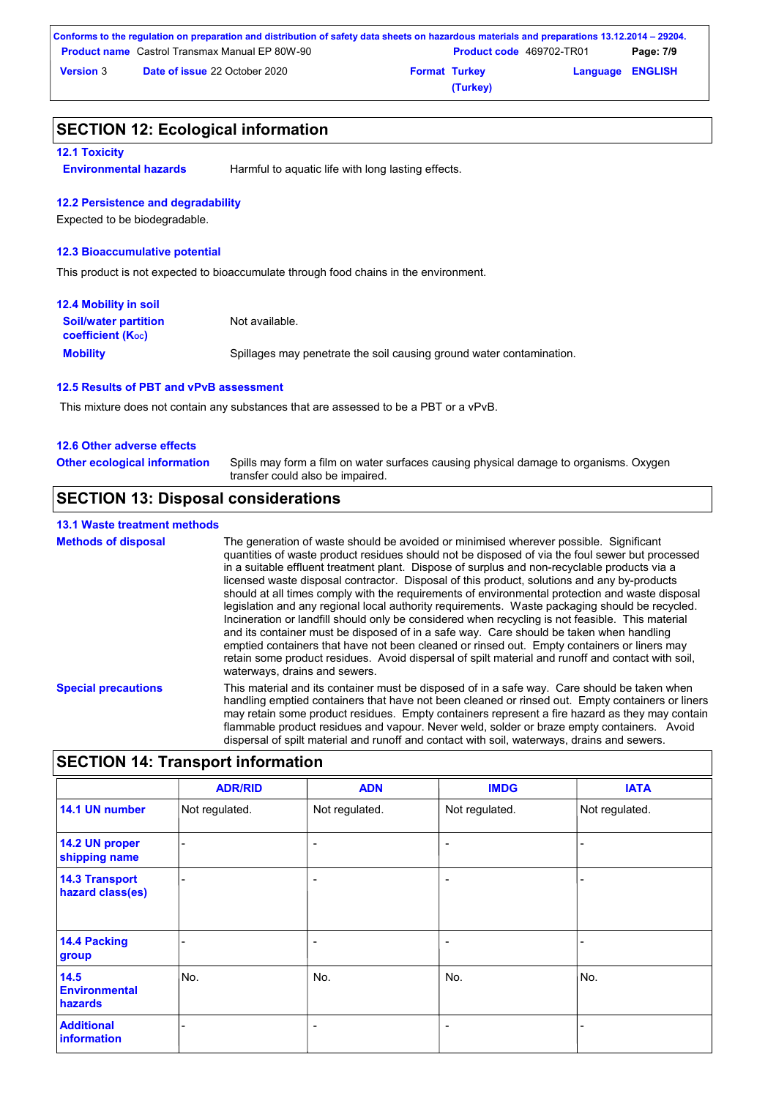|                  | Conforms to the regulation on preparation and distribution of safety data sheets on hazardous materials and preparations 13.12.2014 – 29204. |                      |                                 |                         |           |
|------------------|----------------------------------------------------------------------------------------------------------------------------------------------|----------------------|---------------------------------|-------------------------|-----------|
|                  | <b>Product name</b> Castrol Transmax Manual EP 80W-90                                                                                        |                      | <b>Product code</b> 469702-TR01 |                         | Page: 7/9 |
| <b>Version 3</b> | <b>Date of issue 22 October 2020</b>                                                                                                         | <b>Format Turkey</b> |                                 | <b>Language ENGLISH</b> |           |
|                  |                                                                                                                                              |                      | (Turkey)                        |                         |           |

### **SECTION 12: Ecological information**

#### **12.1 Toxicity**

**Environmental hazards** Harmful to aquatic life with long lasting effects.

### **12.2 Persistence and degradability**

Expected to be biodegradable.

### **12.3 Bioaccumulative potential**

This product is not expected to bioaccumulate through food chains in the environment.

| <b>12.4 Mobility in soil</b>                            |                                                                      |
|---------------------------------------------------------|----------------------------------------------------------------------|
| <b>Soil/water partition</b><br><b>coefficient (Koc)</b> | Not available.                                                       |
| <b>Mobility</b>                                         | Spillages may penetrate the soil causing ground water contamination. |

### **12.5 Results of PBT and vPvB assessment**

This mixture does not contain any substances that are assessed to be a PBT or a vPvB.

### **12.6 Other adverse effects**

Spills may form a film on water surfaces causing physical damage to organisms. Oxygen transfer could also be impaired. **Other ecological information**

## **SECTION 13: Disposal considerations**

### **13.1 Waste treatment methods**

**Special precautions** This material and its container must be disposed of in a safe way. Care should be taken when handling emptied containers that have not been cleaned or rinsed out. Empty containers or liners may retain some product residues. Empty containers represent a fire hazard as they may contain flammable product residues and vapour. Never weld, solder or braze empty containers. Avoid **Methods of disposal** The generation of waste should be avoided or minimised wherever possible. Significant quantities of waste product residues should not be disposed of via the foul sewer but processed in a suitable effluent treatment plant. Dispose of surplus and non-recyclable products via a licensed waste disposal contractor. Disposal of this product, solutions and any by-products should at all times comply with the requirements of environmental protection and waste disposal legislation and any regional local authority requirements. Waste packaging should be recycled. Incineration or landfill should only be considered when recycling is not feasible. This material and its container must be disposed of in a safe way. Care should be taken when handling emptied containers that have not been cleaned or rinsed out. Empty containers or liners may retain some product residues. Avoid dispersal of spilt material and runoff and contact with soil, waterways, drains and sewers.

dispersal of spilt material and runoff and contact with soil, waterways, drains and sewers.

| <b>SECTION 14: Transport information</b>  |                |                          |                          |                |
|-------------------------------------------|----------------|--------------------------|--------------------------|----------------|
|                                           | <b>ADR/RID</b> | <b>ADN</b>               | <b>IMDG</b>              | <b>IATA</b>    |
| 14.1 UN number                            | Not regulated. | Not regulated.           | Not regulated.           | Not regulated. |
| 14.2 UN proper<br>shipping name           |                | $\overline{\phantom{0}}$ | ۰                        |                |
| <b>14.3 Transport</b><br>hazard class(es) |                | ÷                        | ۰                        |                |
| 14.4 Packing<br>group                     |                | $\overline{\phantom{0}}$ | $\overline{\phantom{a}}$ |                |
| 14.5<br><b>Environmental</b><br>hazards   | No.            | No.                      | No.                      | No.            |
| <b>Additional</b><br><b>information</b>   |                |                          | ۰                        |                |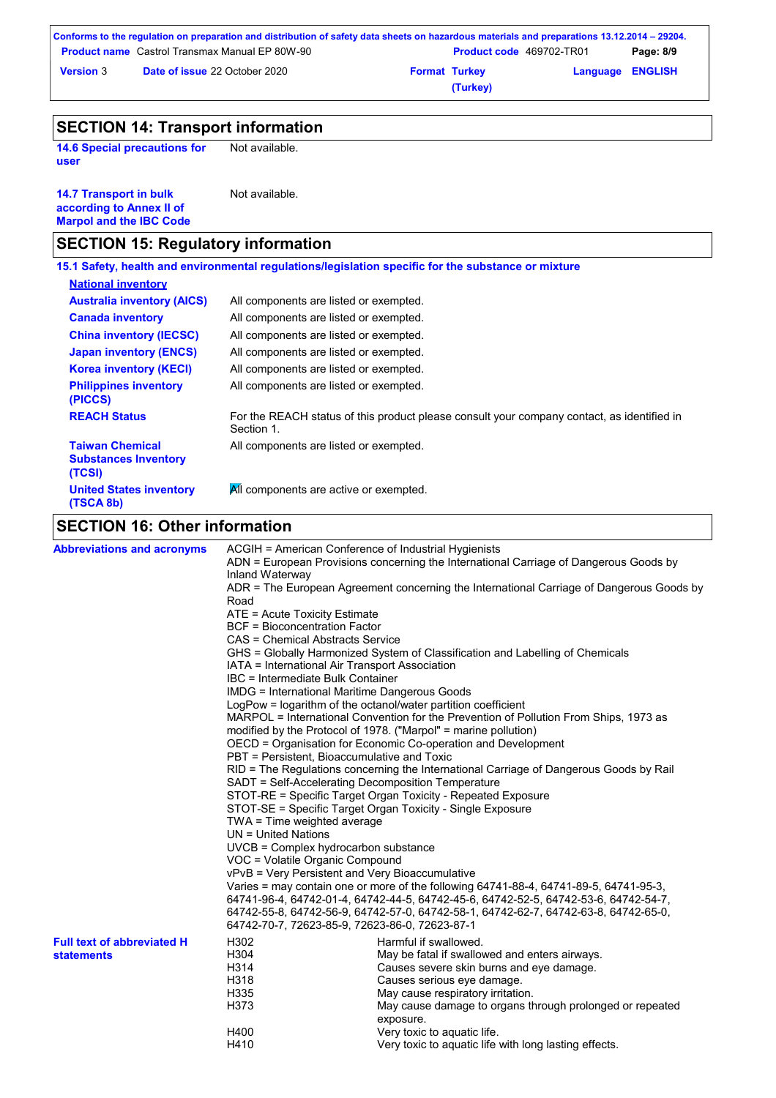|                  | Conforms to the regulation on preparation and distribution of safety data sheets on hazardous materials and preparations 13.12.2014 – 29204. |                      |                                 |                         |           |
|------------------|----------------------------------------------------------------------------------------------------------------------------------------------|----------------------|---------------------------------|-------------------------|-----------|
|                  | <b>Product name</b> Castrol Transmax Manual EP 80W-90                                                                                        |                      | <b>Product code</b> 469702-TR01 |                         | Page: 8/9 |
| <b>Version 3</b> | <b>Date of issue 22 October 2020</b>                                                                                                         | <b>Format Turkey</b> |                                 | <b>Language ENGLISH</b> |           |
|                  |                                                                                                                                              |                      | (Turkey)                        |                         |           |

## **SECTION 14: Transport information**

**14.6 Special precautions for user** Not available.

| <b>14.7 Transport in bulk</b>  | Not available. |
|--------------------------------|----------------|
| according to Annex II of       |                |
| <b>Marpol and the IBC Code</b> |                |

## **SECTION 15: Regulatory information**

|                                                                 | 15.1 Safety, health and environmental regulations/legislation specific for the substance or mixture      |
|-----------------------------------------------------------------|----------------------------------------------------------------------------------------------------------|
| <b>National inventory</b>                                       |                                                                                                          |
| <b>Australia inventory (AICS)</b>                               | All components are listed or exempted.                                                                   |
| <b>Canada inventory</b>                                         | All components are listed or exempted.                                                                   |
| <b>China inventory (IECSC)</b>                                  | All components are listed or exempted.                                                                   |
| <b>Japan inventory (ENCS)</b>                                   | All components are listed or exempted.                                                                   |
| <b>Korea inventory (KECI)</b>                                   | All components are listed or exempted.                                                                   |
| <b>Philippines inventory</b><br>(PICCS)                         | All components are listed or exempted.                                                                   |
| <b>REACH Status</b>                                             | For the REACH status of this product please consult your company contact, as identified in<br>Section 1. |
| <b>Taiwan Chemical</b><br><b>Substances Inventory</b><br>(TCSI) | All components are listed or exempted.                                                                   |
| <b>United States inventory</b><br>(TSCA 8b)                     | All components are active or exempted.                                                                   |
| <b>SECTION 16: Other information</b>                            |                                                                                                          |

# **SECTION 16: Other information**

| <b>Abbreviations and acronyms</b> | ACGIH = American Conference of Industrial Hygienists                                                                       |                                                                                       |  |  |  |
|-----------------------------------|----------------------------------------------------------------------------------------------------------------------------|---------------------------------------------------------------------------------------|--|--|--|
|                                   | ADN = European Provisions concerning the International Carriage of Dangerous Goods by<br>Inland Waterway                   |                                                                                       |  |  |  |
|                                   | ADR = The European Agreement concerning the International Carriage of Dangerous Goods by<br>Road                           |                                                                                       |  |  |  |
|                                   | ATE = Acute Toxicity Estimate                                                                                              |                                                                                       |  |  |  |
|                                   | <b>BCF</b> = Bioconcentration Factor                                                                                       |                                                                                       |  |  |  |
|                                   | CAS = Chemical Abstracts Service                                                                                           |                                                                                       |  |  |  |
|                                   | GHS = Globally Harmonized System of Classification and Labelling of Chemicals                                              |                                                                                       |  |  |  |
|                                   | IATA = International Air Transport Association                                                                             |                                                                                       |  |  |  |
|                                   | IBC = Intermediate Bulk Container                                                                                          |                                                                                       |  |  |  |
|                                   | <b>IMDG = International Maritime Dangerous Goods</b>                                                                       |                                                                                       |  |  |  |
|                                   | LogPow = logarithm of the octanol/water partition coefficient                                                              |                                                                                       |  |  |  |
|                                   |                                                                                                                            | MARPOL = International Convention for the Prevention of Pollution From Ships, 1973 as |  |  |  |
|                                   | modified by the Protocol of 1978. ("Marpol" = marine pollution)                                                            |                                                                                       |  |  |  |
|                                   | OECD = Organisation for Economic Co-operation and Development                                                              |                                                                                       |  |  |  |
|                                   | PBT = Persistent, Bioaccumulative and Toxic                                                                                |                                                                                       |  |  |  |
|                                   | RID = The Regulations concerning the International Carriage of Dangerous Goods by Rail                                     |                                                                                       |  |  |  |
|                                   | SADT = Self-Accelerating Decomposition Temperature                                                                         |                                                                                       |  |  |  |
|                                   | STOT-RE = Specific Target Organ Toxicity - Repeated Exposure<br>STOT-SE = Specific Target Organ Toxicity - Single Exposure |                                                                                       |  |  |  |
|                                   | TWA = Time weighted average                                                                                                |                                                                                       |  |  |  |
|                                   | $UN = United Nations$                                                                                                      |                                                                                       |  |  |  |
|                                   | UVCB = Complex hydrocarbon substance                                                                                       |                                                                                       |  |  |  |
|                                   | VOC = Volatile Organic Compound                                                                                            |                                                                                       |  |  |  |
|                                   | vPvB = Very Persistent and Very Bioaccumulative                                                                            |                                                                                       |  |  |  |
|                                   | Varies = may contain one or more of the following 64741-88-4, 64741-89-5, 64741-95-3,                                      |                                                                                       |  |  |  |
|                                   | 64741-96-4, 64742-01-4, 64742-44-5, 64742-45-6, 64742-52-5, 64742-53-6, 64742-54-7,                                        |                                                                                       |  |  |  |
|                                   | 64742-55-8, 64742-56-9, 64742-57-0, 64742-58-1, 64742-62-7, 64742-63-8, 64742-65-0,                                        |                                                                                       |  |  |  |
|                                   | 64742-70-7, 72623-85-9, 72623-86-0, 72623-87-1                                                                             |                                                                                       |  |  |  |
| <b>Full text of abbreviated H</b> | H302                                                                                                                       | Harmful if swallowed.                                                                 |  |  |  |
| <b>statements</b>                 | H304                                                                                                                       | May be fatal if swallowed and enters airways.                                         |  |  |  |
|                                   | H314                                                                                                                       | Causes severe skin burns and eye damage.                                              |  |  |  |
|                                   | H318                                                                                                                       | Causes serious eye damage.                                                            |  |  |  |
|                                   | H335                                                                                                                       | May cause respiratory irritation.                                                     |  |  |  |
|                                   | H373                                                                                                                       | May cause damage to organs through prolonged or repeated<br>exposure.                 |  |  |  |
|                                   | H400                                                                                                                       | Very toxic to aquatic life.                                                           |  |  |  |
|                                   | H410                                                                                                                       | Very toxic to aquatic life with long lasting effects.                                 |  |  |  |